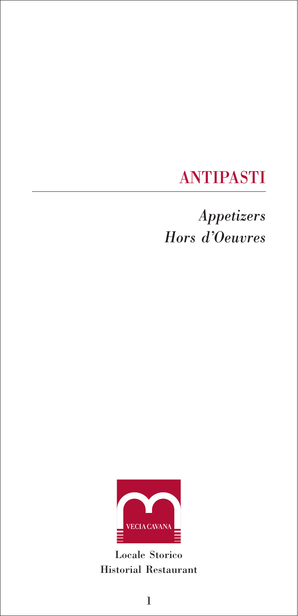## ANTIPASTI

# *Appetizers Hors d'Oeuvres*



Locale Storico Historial Restaurant

1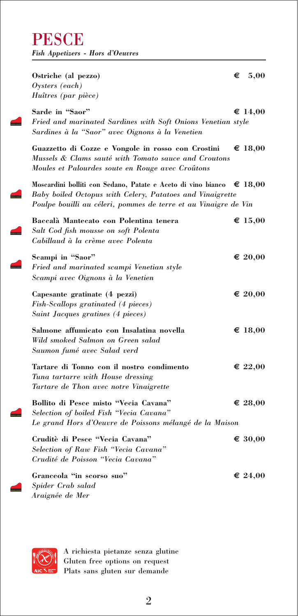**PESCE** *Fish Appetizers - Hors d'Oeuvres*

#### **Ostriche (al pezzo)**  $\epsilon$  5,00 *Oysters (each)*

*Huîtres (par pièce)*

 $Sarde in "Saor"$  **€** 14,00 *Fried and marinated Sardines with Soft Onions Venetian style Sardines à la "Saor" avec Oignons à la Venetien*

**Guazzetto di Cozze e Vongole in rosso con Crostini € 18,00** *Mussels & Clams sauté with Tomato sauce and Croutons Moules et Palourdes soute en Rouge avec Croûtons*

**Moscardini bolliti con Sedano, Patate e Aceto di vino bianco € 18,00** *Baby boiled Octopus with Celery, Patatoes and Vinaigrette Poulpe bouilli au céleri, pommes de terre et au Vinaigre de Vin*

| Baccalà Mantecato con Polentina tenera    | $\epsilon$ 15,00 |
|-------------------------------------------|------------------|
| Salt Cod fish mousse on soft Polenta      |                  |
| Cabillaud à la crème avec Polenta         |                  |
| Scampi in "Saor"                          | $\epsilon$ 20,00 |
| Fried and marinated scampi Venetian style |                  |
| Scampi avec Oignons à la Venetien         |                  |
| Capesante gratinate (4 pezzi)             | $\epsilon$ 20,00 |
| Fish-Scallops gratinated (4 pieces)       |                  |
| Saint Jacques gratines (4 pieces)         |                  |
| Salmone affumicato con Insalatina novella | $\epsilon$ 18.00 |
| Wild smoked Salmon on Green salad         |                  |
| Saumon fumé avec Salad verd               |                  |
|                                           |                  |

Tartare di Tonno con il nostro condimento  $\epsilon$  22,00 *Tuna tartarre with House dressing Tartare de Thon avec notre Vinaigrette*

**Bollito di Pesce misto "Vecia Cavana" € 28,00** *Selection of boiled Fish "Vecia Cavana" Le grand Hors d'Oeuvre de Poissons mélangé de la Maison*

**Cruditè di Pesce "Vecia Cavana" € 30,00**  *Selection of Raw Fish "Vecia Cavana" Crudité de Poisson "Vecia Cavana"*

Granceola "in scorso suo"  $\epsilon$  24,00 *Spider Crab salad Araignée de Mer* 

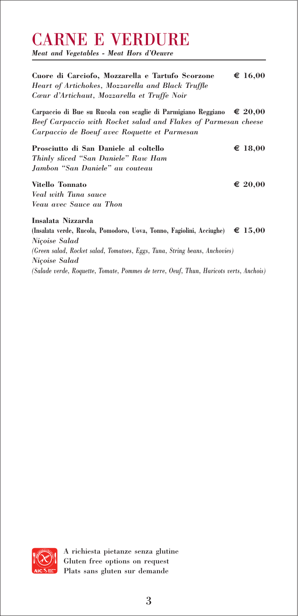### CARNE E VERDURE

*Meat and Vegetables - Meat Hors d'Oeuvre*

**Cuore di Carciofo, Mozzarella e Tartufo Scorzone € 16,00** *Heart of Artichokes, Mozzarella and Black Truffle Cœur d'Artichaut, Mozzarella et Truffe Noir*

**Carpaccio di Bue su Rucola con scaglie di Parmigiano Reggiano € 20,00** *Beef Carpaccio with Rocket salad and Flakes of Parmesan cheese Carpaccio de Boeuf avec Roquette et Parmesan*

**Prosciutto di San Daniele al coltello**  $\epsilon$  18,00 *Thinly sliced "San Daniele" Raw Ham Jambon "San Daniele" au couteau*

#### **Vitello Tonnato**  $\epsilon$  20,00

*Veal with Tuna sauce Veau avec Sauce au Thon*

**Insalata Nizzarda (Insalata verde, Rucola, Pomodoro, Uova, Tonno, Fagiolini, Acciughe) € 15,00** *Niçoise Salad (Green salad, Rocket salad, Tomatoes, Eggs, Tuna, String beans, Anchovies) Niçoise Salad (Salade verde, Roquette, Tomate, Pommes de terre, Oeuf, Thun, Haricots verts, Anchois)*

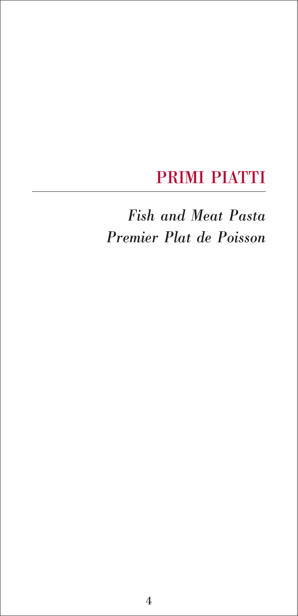### PRIMI PIATTI

*Fish and Meat Pasta Premier Plat de Poisson*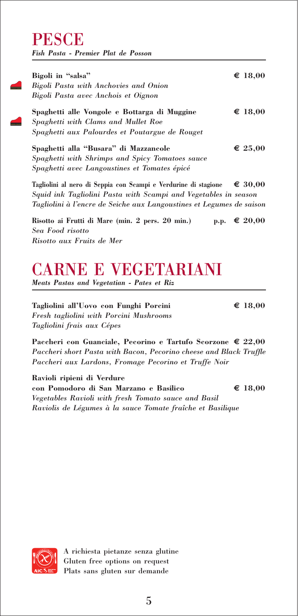### **PESCE** *Fish Pasta - Premier Plat de Posson*

**Bigoli in "salsa" € 18,00** *Bigoli Pasta with Anchovies and Onion Bigoli Pasta avec Anchois et Oignon* **Spaghetti alle Vongole e Bottarga di Muggine € 18,00** *Spaghetti with Clams and Mullet Roe Spaghetti aux Palourdes et Poutargue de Rouget* **Spaghetti alla "Busara" di Mazzancole € 25,00** *Spaghetti with Shrimps and Spicy Tomatoes sauce Spaghetti avec Langoustines et Tomates épicé*

**Tagliolini al nero di Seppia con Scampi e Verdurine di stagione € 30,00** *Squid ink Tagliolini Pasta with Scampi and Vegetables in season Tagliolini à l'encre de Seiche aux Langoustines et Legumes de saison*

**Risotto ai Frutti di Mare (min. 2 pers. 20 min.) p.p.**  $\epsilon$  **20,00** *Sea Food risotto Risotto aux Fruits de Mer*

## CARNE E VEGETARIANI

*Meats Pastas and Vegetatian - Pates et Riz*

**Tagliolini all'Uovo con Funghi Porcini € 18,00** *Fresh tagliolini with Porcini Mushrooms Tagliolini frais aux Cépes* 

**Paccheri con Guanciale, Pecorino e Tartufo Scorzone € 22,00** *Paccheri short Pasta with Bacon, Pecorino cheese and Black Truffle Paccheri aux Lardons, Fromage Pecorino et Truffe Noir*

**Ravioli ripieni di Verdure con Pomodoro di San Marzano e Basilico € 18,00** *Vegetables Ravioli with fresh Tomato sauce and Basil Raviolis de Légumes à la sauce Tomate fraîche et Basilique*

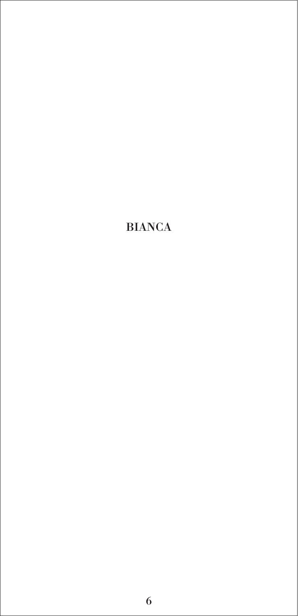### BIANCA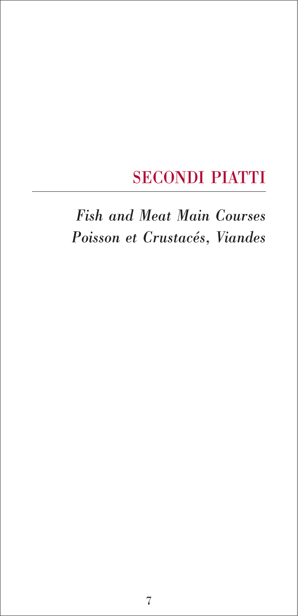### SECONDI PIATTI

# *Fish and Meat Main Courses Poisson et Crustacés, Viandes*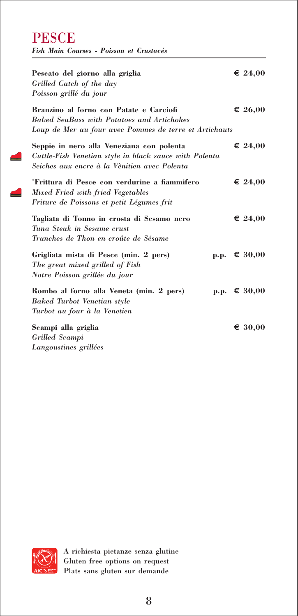**PESCE** *Fish Main Courses - Poisson et Crustacés*

 $\blacktriangle$ 

 $\sqrt{2}$ 

| Pescato del giorno alla griglia<br>Grilled Catch of the day<br>Poisson grillé du jour                                                                  | $\epsilon$ 24,00 |
|--------------------------------------------------------------------------------------------------------------------------------------------------------|------------------|
| Branzino al forno con Patate e Carciofi<br><b>Baked SeaBass with Potatoes and Artichokes</b><br>Loup de Mer au four avec Pommes de terre et Artichauts | $\epsilon$ 26,00 |
| Seppie in nero alla Veneziana con polenta<br>Cuttle-Fish Venetian style in black sauce with Polenta<br>Seiches aux encre à la Vènitien avec Polenta    | $\epsilon$ 24,00 |
| *Frittura di Pesce con verdurine a fiammifero<br>Mixed Fried with fried Vegetables<br>Friture de Poissons et petit Légumes frit                        | $\epsilon$ 24,00 |
| Tagliata di Tonno in crosta di Sesamo nero<br>Tuna Steak in Sesame crust<br>Tranches de Thon en croûte de Sésame                                       | € 24,00          |
| Grigliata mista di Pesce (min. 2 pers)<br>$\mathbf{p.p.}$<br>The great mixed grilled of Fish<br>Notre Poisson grillée du jour                          | € 30,00          |
| Rombo al forno alla Veneta (min. 2 pers)<br><b>Baked Turbot Venetian style</b><br>Turbot au four à la Venetien                                         | p.p. $€ 30,00$   |
| Scampi alla griglia<br>Grilled Scampi<br>Langoustines grillées                                                                                         | $\epsilon$ 30,00 |

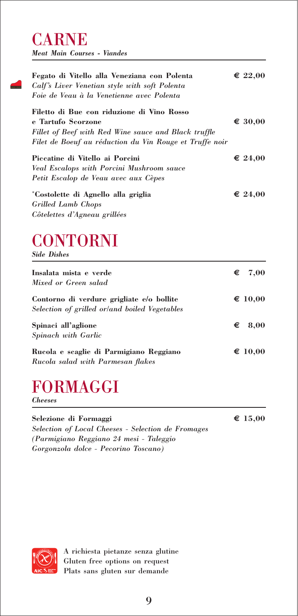### CARNE *Meat Main Courses - Viandes*

| Fegato di Vitello alla Veneziana con Polenta<br>Calf's Liver Venetian style with soft Polenta<br>Foie de Veau à la Venetienne avec Polenta                                          | $\epsilon$ 22,00 |
|-------------------------------------------------------------------------------------------------------------------------------------------------------------------------------------|------------------|
| Filetto di Bue con riduzione di Vino Rosso<br>e Tartufo Scorzone<br>Fillet of Beef with Red Wine sauce and Black truffle<br>Filet de Boeuf au réduction du Vin Rouge et Truffe noir | € 30,00          |
| Piccatine di Vitello ai Porcini<br><b>Veal Escalops with Porcini Mushroom sauce</b><br>Petit Escalop de Veau avec aux Cèpes                                                         | € 24,00          |
| *Costolette di Agnello alla griglia<br><b>Grilled Lamb Chops</b><br>Côtelettes d'Agneau grillées                                                                                    | $\epsilon$ 24,00 |

# **CONTORNI**

*Side Dishes*

| Insalata mista e verde<br>Mixed or Green salad                                             | $\epsilon$ 7,00  |
|--------------------------------------------------------------------------------------------|------------------|
| Contorno di verdure grigliate e/o bollite<br>Selection of grilled or/and boiled Vegetables | $\epsilon$ 10,00 |
| Spinaci all'aglione<br>Spinach with Garlic                                                 | $\epsilon$ 8,00  |
| Rucola e scaglie di Parmigiano Reggiano<br>Rucola salad with Parmesan flakes               | $\epsilon$ 10,00 |

# FORMAGGI

*Cheeses*

**Selezione di Formaggi € 15,00** *Selection of Local Cheeses - Selection de Fromages (Parmigiano Reggiano 24 mesi - Taleggio Gorgonzola dolce - Pecorino Toscano)*

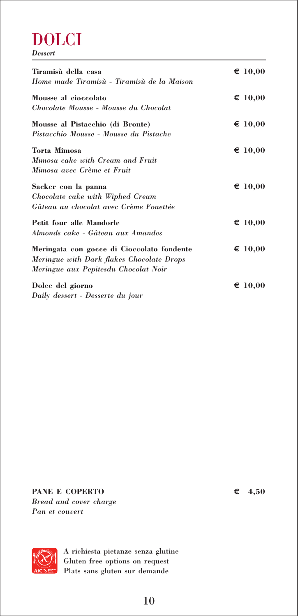### DOLCI *Dessert*

| Tiramisù della casa<br>Home made Tiramisù - Tiramisù de la Maison                                                               | $\epsilon$ 10,00 |
|---------------------------------------------------------------------------------------------------------------------------------|------------------|
| Mousse al cioccolato<br>Chocolate Mousse - Mousse du Chocolat                                                                   | $\epsilon$ 10,00 |
| Mousse al Pistacchio (di Bronte)<br>Pistacchio Mousse - Mousse du Pistache                                                      | $\epsilon$ 10,00 |
| <b>Torta Mimosa</b><br>Mimosa cake with Cream and Fruit<br>Mimosa avec Crème et Fruit                                           | $\epsilon$ 10,00 |
| Sacker con la panna<br>Chocolate cake with Wiphed Cream<br>Gâteau au chocolat avec Crème Fouettée                               | $\epsilon$ 10,00 |
| Petit four alle Mandorle<br>Almonds cake - Gâteau aux Amandes                                                                   | $\epsilon$ 10,00 |
| Meringata con gocce di Cioccolato fondente<br>Meringue with Dark flakes Chocolate Drops<br>Meringue aux Pepitesdu Chocolat Noir | $\epsilon$ 10,00 |
| Dolce del giorno<br>Daily dessert - Desserte du jour                                                                            | $\epsilon$ 10,00 |

**PANE E COPERTO € 4,50** *Bread and cover charge Pan et couvert*

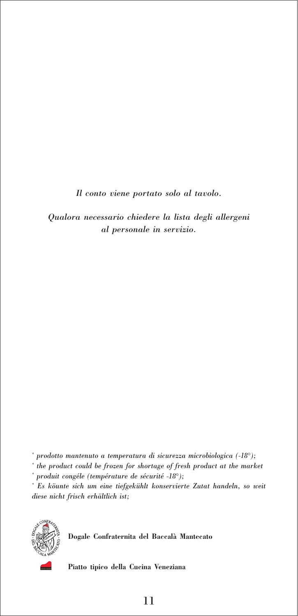*Il conto viene portato solo al tavolo.*

*Qualora necessario chiedere la lista degli allergeni al personale in servizio.*

*\* prodotto mantenuto a temperatura di sicurezza microbiologica (-18°);*

*\* the product could be frozen for shortage of fresh product at the market*

*\* produit congéle (température de sécurité -18°);*

*\* Es köunte sich um eine tiefgekühlt konservierte Zutat handeln, so weit diese nicht frisch erhältlich ist;*



**Dogale Confraternita del Baccalà Mantecato**

**Piatto tipico della Cucina Veneziana**